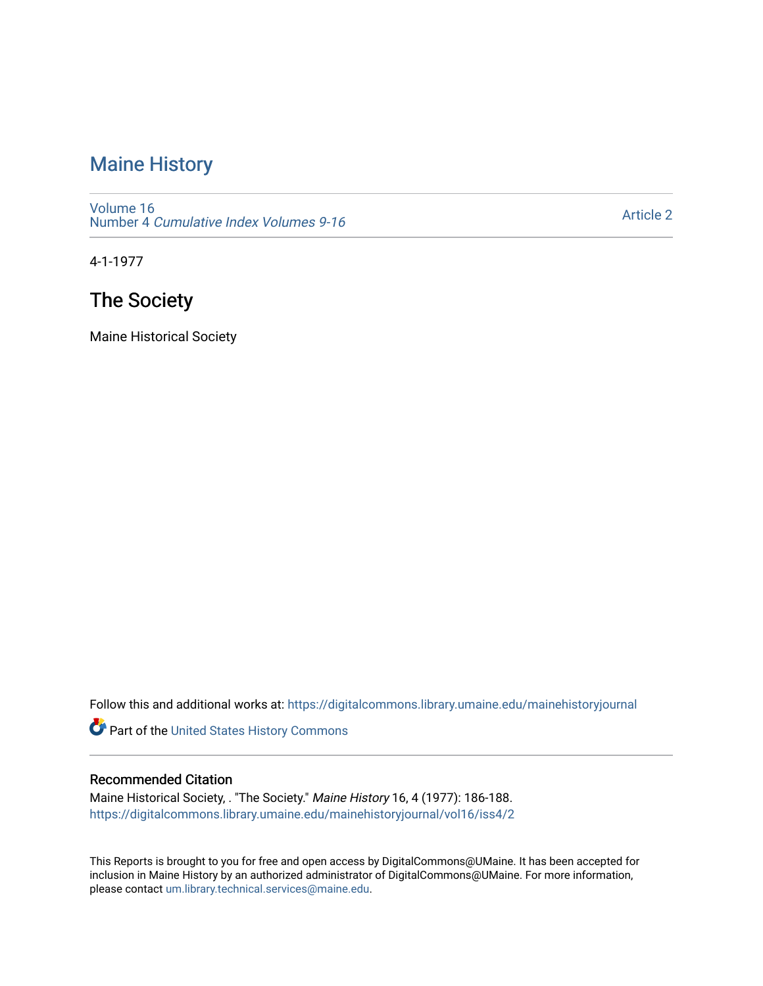## [Maine History](https://digitalcommons.library.umaine.edu/mainehistoryjournal)

[Volume 16](https://digitalcommons.library.umaine.edu/mainehistoryjournal/vol16) Number 4 [Cumulative Index Volumes 9-16](https://digitalcommons.library.umaine.edu/mainehistoryjournal/vol16/iss4) 

[Article 2](https://digitalcommons.library.umaine.edu/mainehistoryjournal/vol16/iss4/2) 

4-1-1977

# The Society

Maine Historical Society

Follow this and additional works at: [https://digitalcommons.library.umaine.edu/mainehistoryjournal](https://digitalcommons.library.umaine.edu/mainehistoryjournal?utm_source=digitalcommons.library.umaine.edu%2Fmainehistoryjournal%2Fvol16%2Fiss4%2F2&utm_medium=PDF&utm_campaign=PDFCoverPages) 

Part of the [United States History Commons](http://network.bepress.com/hgg/discipline/495?utm_source=digitalcommons.library.umaine.edu%2Fmainehistoryjournal%2Fvol16%2Fiss4%2F2&utm_medium=PDF&utm_campaign=PDFCoverPages) 

#### Recommended Citation

Maine Historical Society, . "The Society." Maine History 16, 4 (1977): 186-188. [https://digitalcommons.library.umaine.edu/mainehistoryjournal/vol16/iss4/2](https://digitalcommons.library.umaine.edu/mainehistoryjournal/vol16/iss4/2?utm_source=digitalcommons.library.umaine.edu%2Fmainehistoryjournal%2Fvol16%2Fiss4%2F2&utm_medium=PDF&utm_campaign=PDFCoverPages)

This Reports is brought to you for free and open access by DigitalCommons@UMaine. It has been accepted for inclusion in Maine History by an authorized administrator of DigitalCommons@UMaine. For more information, please contact [um.library.technical.services@maine.edu.](mailto:um.library.technical.services@maine.edu)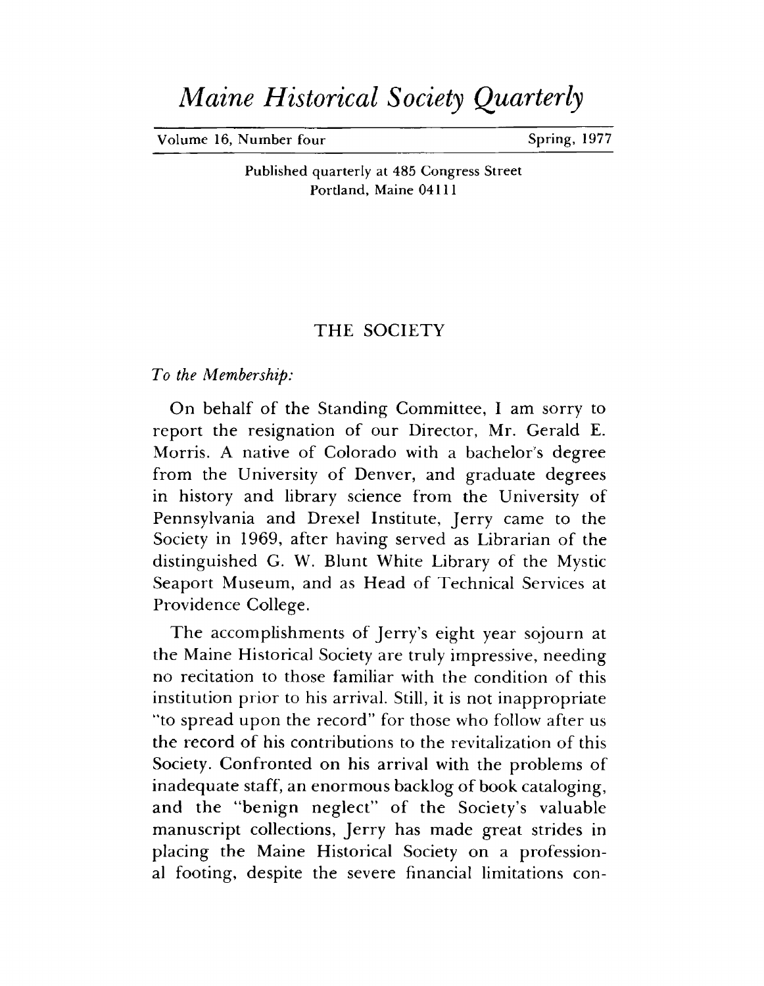# *Maine Historical Society Quarterly*

**Volume 16, Number four Spring, 1977** 

**Published quarterly at 485 Congress Street Portland, Maine 04111**

#### THE SOCIETY

*To the Membership:*

On behalf of the Standing Committee, I am sorry to report the resignation of our Director, Mr. Gerald E. Morris. A native of Colorado with a bachelor's degree from the University of Denver, and graduate degrees in history and library science from the University of Pennsylvania and Drexel Institute, Jerry came to the Society in 1969, after having served as Librarian of the distinguished G. W. Blunt White Library of the Mystic Seaport Museum, and as Head of Technical Services at Providence College.

The accomplishments of Jerry's eight year sojourn at the Maine Historical Society are truly impressive, needing no recitation to those familiar with the condition of this institution prior to his arrival. Still, it is not inappropriate "to spread upon the record" for those who follow after us the record of his contributions to the revitalization of this Society. Confronted on his arrival with the problems of inadequate staff, an enormous backlog of book cataloging, and the "benign neglect" of the Society's valuable manuscript collections, Jerry has made great strides in placing the Maine Historical Society on a professional footing, despite the severe financial limitations con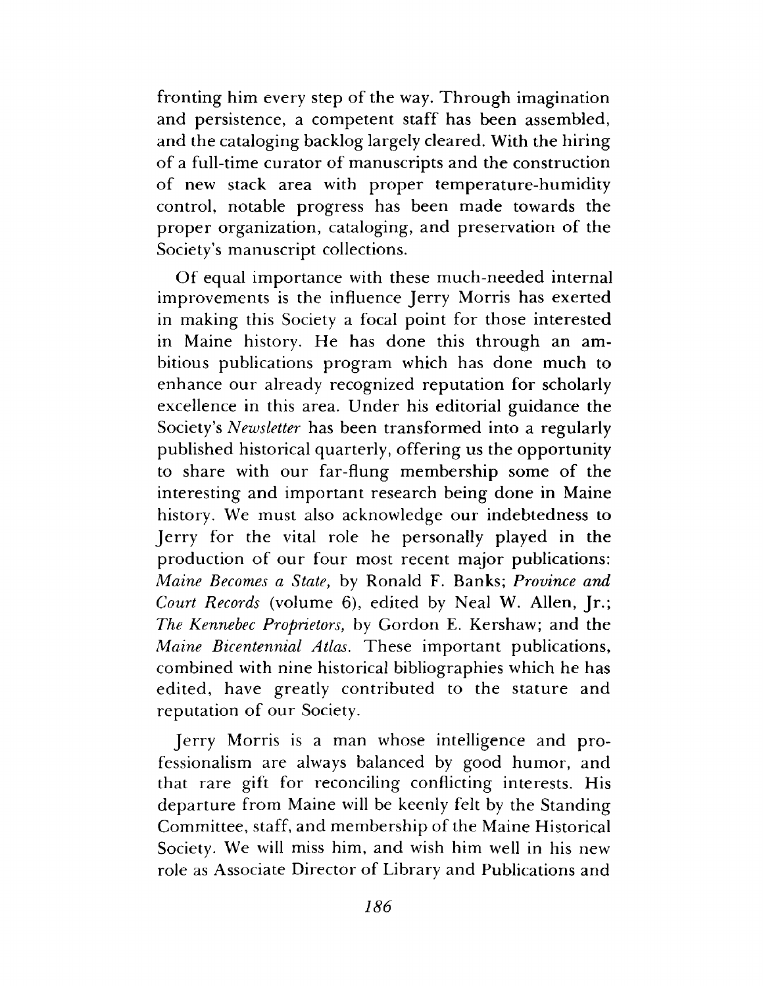fronting him every step of the way. Through imagination and persistence, a competent staff has been assembled, and the cataloging backlog largely cleared. With the hiring of a full-time curator of manuscripts and the construction of new stack area with proper temperature-humidity control, notable progress has been made towards the proper organization, cataloging, and preservation of the Society's manuscript collections.

Of equal importance with these much-needed internal improvements is the influence Jerry Morris has exerted in making this Society a focal point for those interested in Maine history. He has done this through an ambitious publications program which has done much to enhance our already recognized reputation for scholarly excellence in this area. Under his editorial guidance the Society's *Newsletter* has been transformed into a regularly published historical quarterly, offering us the opportunity to share with our far-flung membership some of the interesting and important research being done in Maine history. We must also acknowledge our indebtedness to Jerry for the vital role he personally played in the production of our four most recent major publications: *Maine Becomes a State*, by Ronald F. Banks; *Province and Court Records* (volume 6), edited by Neal W. Allen, Jr.; *The Kennebec Proprietors*, by Gordon E. Kershaw; and the *Maine Bicentennial Atlas.* These important publications, combined with nine historical bibliographies which he has edited, have greatly contributed to the stature and reputation of our Society.

Jerry Morris is a man whose intelligence and professionalism are always balanced by good humor, and that rare gift for reconciling conflicting interests. His departure from Maine will be keenly felt by the Standing Committee, staff, and membership of the Maine Historical Society. We will miss him, and wish him well in his new role as Associate Director of Library and Publications and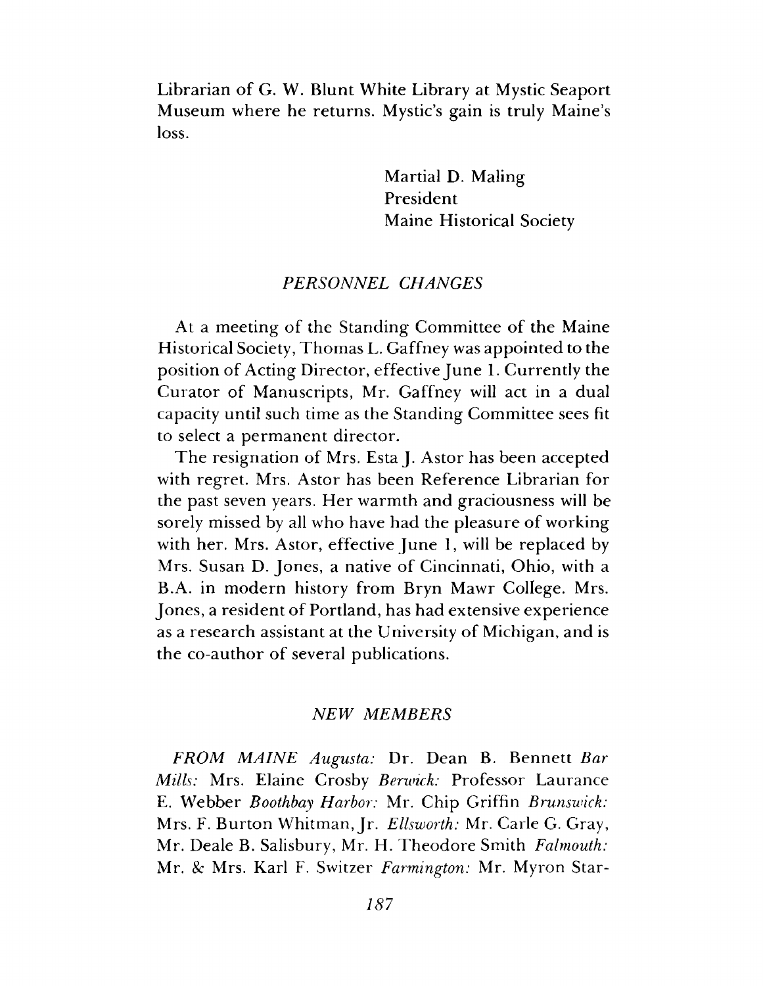Librarian of G. W. Blunt White Library at Mystic Seaport Museum where he returns. Mystic's gain is truly Maine's loss.

> Martial D. Maling President Maine Historical Society

#### *PERSO NNEL CHANGES*

At a meeting of the Standing Committee of the Maine Historical Society, Thomas L. Gaffney was appointed to the position of Acting Director, effective June 1. Currently the Curator of Manuscripts, Mr. Gaffney will act in a dual capacity until such time as the Standing Committee sees fit to select a permanent director.

The resignation of Mrs. Esta J. Astor has been accepted with regret. Mrs. Astor has been Reference Librarian for the past seven years. Her warmth and graciousness will be sorely missed by all who have had the pleasure of working with her. Mrs. Astor, effective June 1, will be replaced by Mrs. Susan D. Jones, a native of Cincinnati, Ohio, with a B.A. in modern history from Bryn Mawr College. Mrs. Jones, a resident of Portland, has had extensive experience as a research assistant at the University of Michigan, and is the co-author of several publications.

#### **NEW MEMBERS**

*FROM MAINE Augusta:* Dr. Dean B. Bennett *Bar Mills:* Mrs. Elaine Crosby *Berwick:* Professor Laurance E. W ebber *Boothbay Harbor:* Mr. Chip Griffin *Brunswick:* Mrs. F. Burton Whitman, Jr. *Ellsworth: Mr. Carle G. Gray*, Mr. Deale B. Salisbury, Mr. H. T heodore Smith *Falmouth:* Mr. *8c* Mrs. Karl F. Switzer *Farmington:* Mr. Myron Star